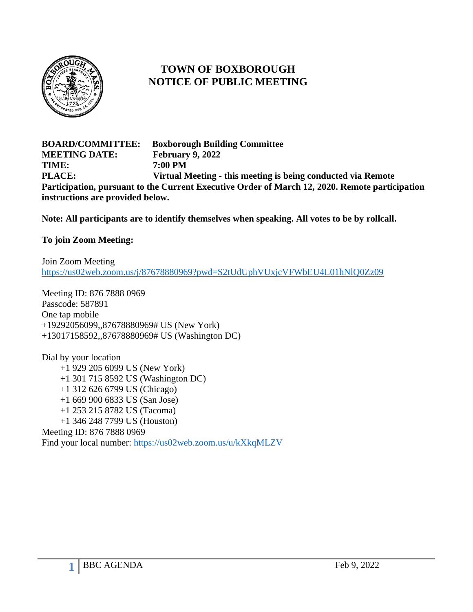

# **TOWN OF BOXBOROUGH NOTICE OF PUBLIC MEETING**

**BOARD/COMMITTEE: Boxborough Building Committee MEETING DATE: February 9, 2022 TIME: 7:00 PM PLACE: Virtual Meeting - this meeting is being conducted via Remote Participation, pursuant to the Current Executive Order of March 12, 2020. Remote participation instructions are provided below.**

**Note: All participants are to identify themselves when speaking. All votes to be by rollcall.**

#### **To join Zoom Meeting:**

Join Zoom Meeting <https://us02web.zoom.us/j/87678880969?pwd=S2tUdUphVUxjcVFWbEU4L01hNlQ0Zz09>

Meeting ID: 876 7888 0969 Passcode: 587891 One tap mobile +19292056099,,87678880969# US (New York) +13017158592,,87678880969# US (Washington DC)

Dial by your location +1 929 205 6099 US (New York) +1 301 715 8592 US (Washington DC) +1 312 626 6799 US (Chicago) +1 669 900 6833 US (San Jose) +1 253 215 8782 US (Tacoma) +1 346 248 7799 US (Houston) Meeting ID: 876 7888 0969 Find your local number:<https://us02web.zoom.us/u/kXkqMLZV>